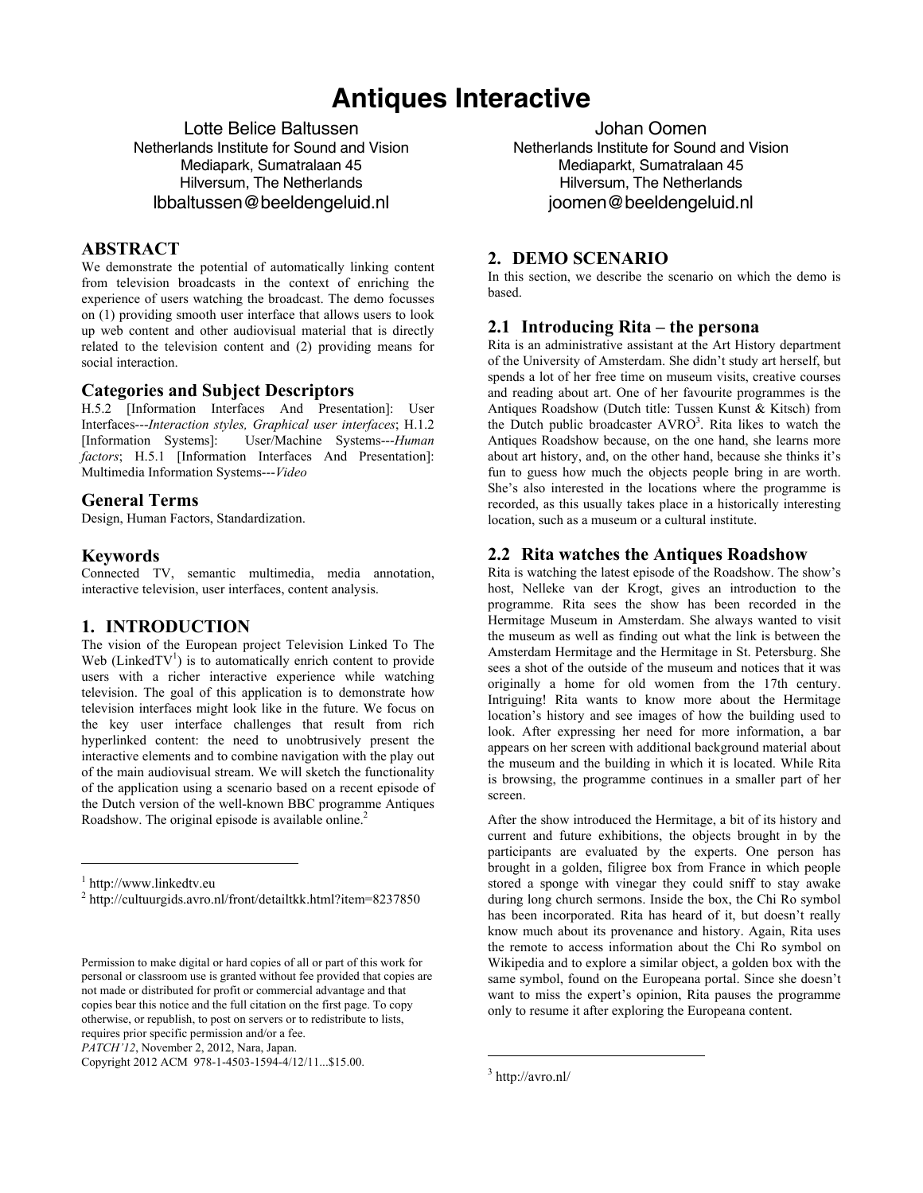# **Antiques Interactive**

Lotte Belice Baltussen Netherlands Institute for Sound and Vision Mediapark, Sumatralaan 45 Hilversum, The Netherlands lbbaltussen@beeldengeluid.nl

## **ABSTRACT**

We demonstrate the potential of automatically linking content from television broadcasts in the context of enriching the experience of users watching the broadcast. The demo focusses on (1) providing smooth user interface that allows users to look up web content and other audiovisual material that is directly related to the television content and (2) providing means for social interaction.

#### **Categories and Subject Descriptors**

H.5.2 [Information Interfaces And Presentation]: User Interfaces---*Interaction styles, Graphical user interfaces*; H.1.2 [Information Systems]: User/Machine Systems---*Human factors*; H.5.1 [Information Interfaces And Presentation]: Multimedia Information Systems---*Video* 

#### **General Terms**

Design, Human Factors, Standardization.

#### **Keywords**

Connected TV, semantic multimedia, media annotation, interactive television, user interfaces, content analysis.

#### **1. INTRODUCTION**

The vision of the European project Television Linked To The Web (Linked $TV<sup>1</sup>$ ) is to automatically enrich content to provide users with a richer interactive experience while watching television. The goal of this application is to demonstrate how television interfaces might look like in the future. We focus on the key user interface challenges that result from rich hyperlinked content: the need to unobtrusively present the interactive elements and to combine navigation with the play out of the main audiovisual stream. We will sketch the functionality of the application using a scenario based on a recent episode of the Dutch version of the well-known BBC programme Antiques Roadshow. The original episode is available online.<sup>2</sup>

 $\overline{a}$ 

*PATCH'12*, November 2, 2012, Nara, Japan.

Copyright 2012 ACM 978-1-4503-1594-4/12/11...\$15.00.

Johan Oomen Netherlands Institute for Sound and Vision Mediaparkt, Sumatralaan 45 Hilversum, The Netherlands joomen@beeldengeluid.nl

### **2. DEMO SCENARIO**

In this section, we describe the scenario on which the demo is based.

#### **2.1 Introducing Rita – the persona**

Rita is an administrative assistant at the Art History department of the University of Amsterdam. She didn't study art herself, but spends a lot of her free time on museum visits, creative courses and reading about art. One of her favourite programmes is the Antiques Roadshow (Dutch title: Tussen Kunst & Kitsch) from the Dutch public broadcaster  $AVRO<sup>3</sup>$ . Rita likes to watch the Antiques Roadshow because, on the one hand, she learns more about art history, and, on the other hand, because she thinks it's fun to guess how much the objects people bring in are worth. She's also interested in the locations where the programme is recorded, as this usually takes place in a historically interesting location, such as a museum or a cultural institute.

#### **2.2 Rita watches the Antiques Roadshow**

Rita is watching the latest episode of the Roadshow. The show's host, Nelleke van der Krogt, gives an introduction to the programme. Rita sees the show has been recorded in the Hermitage Museum in Amsterdam. She always wanted to visit the museum as well as finding out what the link is between the Amsterdam Hermitage and the Hermitage in St. Petersburg. She sees a shot of the outside of the museum and notices that it was originally a home for old women from the 17th century. Intriguing! Rita wants to know more about the Hermitage location's history and see images of how the building used to look. After expressing her need for more information, a bar appears on her screen with additional background material about the museum and the building in which it is located. While Rita is browsing, the programme continues in a smaller part of her screen.

After the show introduced the Hermitage, a bit of its history and current and future exhibitions, the objects brought in by the participants are evaluated by the experts. One person has brought in a golden, filigree box from France in which people stored a sponge with vinegar they could sniff to stay awake during long church sermons. Inside the box, the Chi Ro symbol has been incorporated. Rita has heard of it, but doesn't really know much about its provenance and history. Again, Rita uses the remote to access information about the Chi Ro symbol on Wikipedia and to explore a similar object, a golden box with the same symbol, found on the Europeana portal. Since she doesn't want to miss the expert's opinion, Rita pauses the programme only to resume it after exploring the Europeana content.

 $\overline{a}$ 

<sup>&</sup>lt;sup>1</sup> http://www.linkedtv.eu

<sup>&</sup>lt;sup>2</sup> http://cultuurgids.avro.nl/front/detailtkk.html?item=8237850

Permission to make digital or hard copies of all or part of this work for personal or classroom use is granted without fee provided that copies are not made or distributed for profit or commercial advantage and that copies bear this notice and the full citation on the first page. To copy otherwise, or republish, to post on servers or to redistribute to lists, requires prior specific permission and/or a fee.

<sup>3</sup> http://avro.nl/